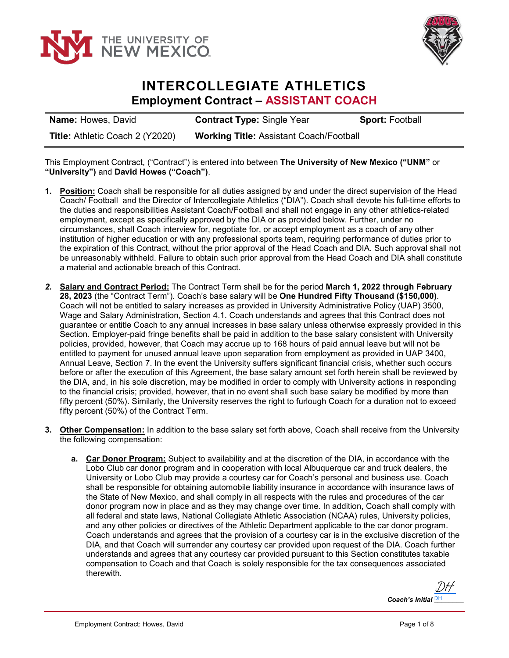



## **INTERCOLLEGIATE ATHLETICS Employment Contract – ASSISTANT COACH**

**Name:** Howes, David **Contract Type:** Single Year **Sport:** Football **Title:** Athletic Coach 2 (Y2020) **Working Title:** Assistant Coach/Football

This Employment Contract, ("Contract") is entered into between **The University of New Mexico ("UNM"** or **"University")** and **David Howes ("Coach")**.

- **1. Position:** Coach shall be responsible for all duties assigned by and under the direct supervision of the Head Coach/ Football and the Director of Intercollegiate Athletics ("DIA"). Coach shall devote his full-time efforts to the duties and responsibilities Assistant Coach/Football and shall not engage in any other athletics-related employment, except as specifically approved by the DIA or as provided below. Further, under no circumstances, shall Coach interview for, negotiate for, or accept employment as a coach of any other institution of higher education or with any professional sports team, requiring performance of duties prior to the expiration of this Contract, without the prior approval of the Head Coach and DIA. Such approval shall not be unreasonably withheld. Failure to obtain such prior approval from the Head Coach and DIA shall constitute a material and actionable breach of this Contract.
- *2.* **Salary and Contract Period:** The Contract Term shall be for the period **March 1, 2022 through February 28, 2023** (the "Contract Term"). Coach's base salary will be **One Hundred Fifty Thousand (\$150,000)**. Coach will not be entitled to salary increases as provided in University Administrative Policy (UAP) 3500, Wage and Salary Administration, Section 4.1. Coach understands and agrees that this Contract does not guarantee or entitle Coach to any annual increases in base salary unless otherwise expressly provided in this Section. Employer-paid fringe benefits shall be paid in addition to the base salary consistent with University policies, provided, however, that Coach may accrue up to 168 hours of paid annual leave but will not be entitled to payment for unused annual leave upon separation from employment as provided in UAP 3400, Annual Leave, Section 7. In the event the University suffers significant financial crisis, whether such occurs before or after the execution of this Agreement, the base salary amount set forth herein shall be reviewed by the DIA, and, in his sole discretion, may be modified in order to comply with University actions in responding to the financial crisis; provided, however, that in no event shall such base salary be modified by more than fifty percent (50%). Similarly, the University reserves the right to furlough Coach for a duration not to exceed fifty percent (50%) of the Contract Term.
- **3. Other Compensation:** In addition to the base salary set forth above, Coach shall receive from the University the following compensation:
	- **a. Car Donor Program:** Subject to availability and at the discretion of the DIA, in accordance with the Lobo Club car donor program and in cooperation with local Albuquerque car and truck dealers, the University or Lobo Club may provide a courtesy car for Coach's personal and business use. Coach shall be responsible for obtaining automobile liability insurance in accordance with insurance laws of the State of New Mexico, and shall comply in all respects with the rules and procedures of the car donor program now in place and as they may change over time. In addition, Coach shall comply with all federal and state laws, National Collegiate Athletic Association (NCAA) rules, University policies, and any other policies or directives of the Athletic Department applicable to the car donor program. Coach understands and agrees that the provision of a courtesy car is in the exclusive discretion of the DIA, and that Coach will surrender any courtesy car provided upon request of the DIA. Coach further understands and agrees that any courtesy car provided pursuant to this Section constitutes taxable compensation to Coach and that Coach is solely responsible for the tax consequences associated therewith.

*Coach's Initial* **DH** [DH](https://secure.na2.echosign.com/verifier?tx=CBJCHBCAABAAPiS-ABwhXOprYNAlwZ8VAQPZ7YD_9SOy)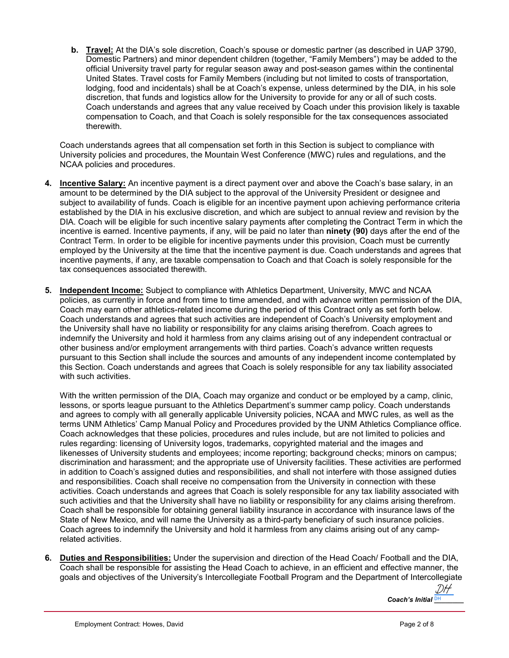**b. Travel:** At the DIA's sole discretion, Coach's spouse or domestic partner (as described in UAP 3790, Domestic Partners) and minor dependent children (together, "Family Members") may be added to the official University travel party for regular season away and post-season games within the continental United States. Travel costs for Family Members (including but not limited to costs of transportation, lodging, food and incidentals) shall be at Coach's expense, unless determined by the DIA, in his sole discretion, that funds and logistics allow for the University to provide for any or all of such costs. Coach understands and agrees that any value received by Coach under this provision likely is taxable compensation to Coach, and that Coach is solely responsible for the tax consequences associated therewith.

Coach understands agrees that all compensation set forth in this Section is subject to compliance with University policies and procedures, the Mountain West Conference (MWC) rules and regulations, and the NCAA policies and procedures.

- **4. Incentive Salary:** An incentive payment is a direct payment over and above the Coach's base salary, in an amount to be determined by the DIA subject to the approval of the University President or designee and subject to availability of funds. Coach is eligible for an incentive payment upon achieving performance criteria established by the DIA in his exclusive discretion, and which are subject to annual review and revision by the DIA. Coach will be eligible for such incentive salary payments after completing the Contract Term in which the incentive is earned. Incentive payments, if any, will be paid no later than **ninety (90)** days after the end of the Contract Term. In order to be eligible for incentive payments under this provision, Coach must be currently employed by the University at the time that the incentive payment is due. Coach understands and agrees that incentive payments, if any, are taxable compensation to Coach and that Coach is solely responsible for the tax consequences associated therewith.
- **5. Independent Income:** Subject to compliance with Athletics Department, University, MWC and NCAA policies, as currently in force and from time to time amended, and with advance written permission of the DIA, Coach may earn other athletics-related income during the period of this Contract only as set forth below. Coach understands and agrees that such activities are independent of Coach's University employment and the University shall have no liability or responsibility for any claims arising therefrom. Coach agrees to indemnify the University and hold it harmless from any claims arising out of any independent contractual or other business and/or employment arrangements with third parties. Coach's advance written requests pursuant to this Section shall include the sources and amounts of any independent income contemplated by this Section. Coach understands and agrees that Coach is solely responsible for any tax liability associated with such activities.

With the written permission of the DIA, Coach may organize and conduct or be employed by a camp, clinic, lessons, or sports league pursuant to the Athletics Department's summer camp policy. Coach understands and agrees to comply with all generally applicable University policies, NCAA and MWC rules, as well as the terms UNM Athletics' Camp Manual Policy and Procedures provided by the UNM Athletics Compliance office. Coach acknowledges that these policies, procedures and rules include, but are not limited to policies and rules regarding: licensing of University logos, trademarks, copyrighted material and the images and likenesses of University students and employees; income reporting; background checks; minors on campus; discrimination and harassment; and the appropriate use of University facilities. These activities are performed in addition to Coach's assigned duties and responsibilities, and shall not interfere with those assigned duties and responsibilities. Coach shall receive no compensation from the University in connection with these activities. Coach understands and agrees that Coach is solely responsible for any tax liability associated with such activities and that the University shall have no liability or responsibility for any claims arising therefrom. Coach shall be responsible for obtaining general liability insurance in accordance with insurance laws of the State of New Mexico, and will name the University as a third-party beneficiary of such insurance policies. Coach agrees to indemnify the University and hold it harmless from any claims arising out of any camprelated activities.

**6. Duties and Responsibilities:** Under the supervision and direction of the Head Coach/ Football and the DIA, Coach shall be responsible for assisting the Head Coach to achieve, in an efficient and effective manner, the goals and objectives of the University's Intercollegiate Football Program and the Department of Intercollegiate

Coach's Initial **DH** [DH](https://secure.na2.echosign.com/verifier?tx=CBJCHBCAABAAPiS-ABwhXOprYNAlwZ8VAQPZ7YD_9SOy)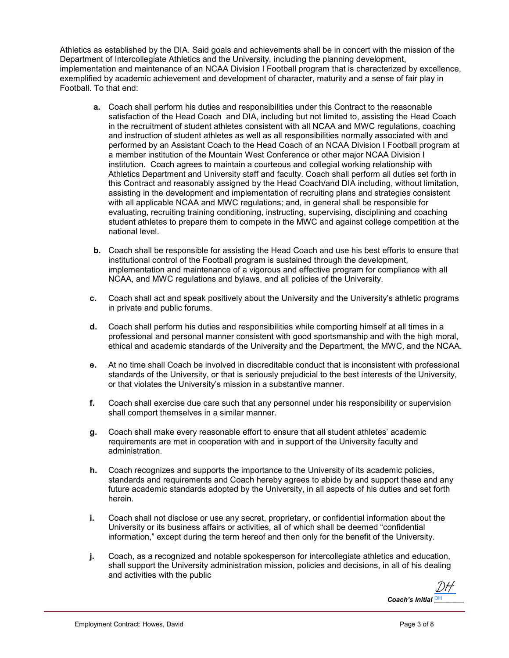Athletics as established by the DIA. Said goals and achievements shall be in concert with the mission of the Department of Intercollegiate Athletics and the University, including the planning development, implementation and maintenance of an NCAA Division I Football program that is characterized by excellence, exemplified by academic achievement and development of character, maturity and a sense of fair play in Football. To that end:

- **a.** Coach shall perform his duties and responsibilities under this Contract to the reasonable satisfaction of the Head Coach and DIA, including but not limited to, assisting the Head Coach in the recruitment of student athletes consistent with all NCAA and MWC regulations, coaching and instruction of student athletes as well as all responsibilities normally associated with and performed by an Assistant Coach to the Head Coach of an NCAA Division I Football program at a member institution of the Mountain West Conference or other major NCAA Division I institution. Coach agrees to maintain a courteous and collegial working relationship with Athletics Department and University staff and faculty. Coach shall perform all duties set forth in this Contract and reasonably assigned by the Head Coach/and DIA including, without limitation, assisting in the development and implementation of recruiting plans and strategies consistent with all applicable NCAA and MWC regulations; and, in general shall be responsible for evaluating, recruiting training conditioning, instructing, supervising, disciplining and coaching student athletes to prepare them to compete in the MWC and against college competition at the national level.
- **b.** Coach shall be responsible for assisting the Head Coach and use his best efforts to ensure that institutional control of the Football program is sustained through the development, implementation and maintenance of a vigorous and effective program for compliance with all NCAA, and MWC regulations and bylaws, and all policies of the University.
- **c.** Coach shall act and speak positively about the University and the University's athletic programs in private and public forums.
- **d.** Coach shall perform his duties and responsibilities while comporting himself at all times in a professional and personal manner consistent with good sportsmanship and with the high moral, ethical and academic standards of the University and the Department, the MWC, and the NCAA.
- **e.** At no time shall Coach be involved in discreditable conduct that is inconsistent with professional standards of the University, or that is seriously prejudicial to the best interests of the University, or that violates the University's mission in a substantive manner.
- **f.** Coach shall exercise due care such that any personnel under his responsibility or supervision shall comport themselves in a similar manner.
- **g.** Coach shall make every reasonable effort to ensure that all student athletes' academic requirements are met in cooperation with and in support of the University faculty and administration.
- **h.** Coach recognizes and supports the importance to the University of its academic policies, standards and requirements and Coach hereby agrees to abide by and support these and any future academic standards adopted by the University, in all aspects of his duties and set forth herein.
- **i.** Coach shall not disclose or use any secret, proprietary, or confidential information about the University or its business affairs or activities, all of which shall be deemed "confidential information," except during the term hereof and then only for the benefit of the University.
- **j.** Coach, as a recognized and notable spokesperson for intercollegiate athletics and education, shall support the University administration mission, policies and decisions, in all of his dealing and activities with the public

*Coach's Initial* **DH** [DH](https://secure.na2.echosign.com/verifier?tx=CBJCHBCAABAAPiS-ABwhXOprYNAlwZ8VAQPZ7YD_9SOy)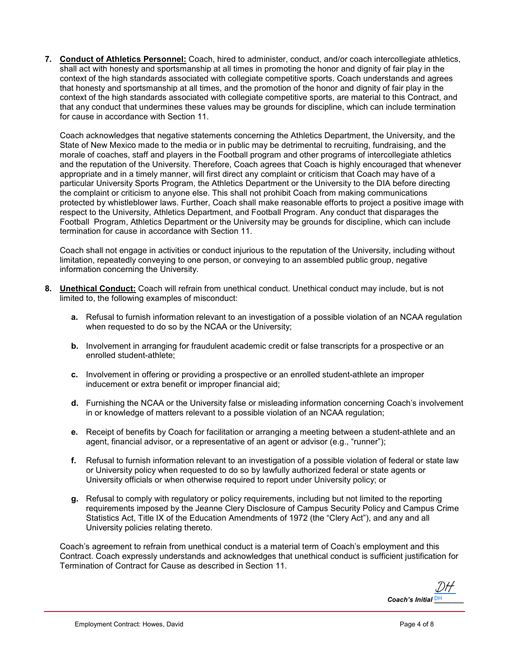**7. Conduct of Athletics Personnel:** Coach, hired to administer, conduct, and/or coach intercollegiate athletics, shall act with honesty and sportsmanship at all times in promoting the honor and dignity of fair play in the context of the high standards associated with collegiate competitive sports. Coach understands and agrees that honesty and sportsmanship at all times, and the promotion of the honor and dignity of fair play in the context of the high standards associated with collegiate competitive sports, are material to this Contract, and that any conduct that undermines these values may be grounds for discipline, which can include termination for cause in accordance with Section 11.

Coach acknowledges that negative statements concerning the Athletics Department, the University, and the State of New Mexico made to the media or in public may be detrimental to recruiting, fundraising, and the morale of coaches, staff and players in the Football program and other programs of intercollegiate athletics and the reputation of the University. Therefore, Coach agrees that Coach is highly encouraged that whenever appropriate and in a timely manner, will first direct any complaint or criticism that Coach may have of a particular University Sports Program, the Athletics Department or the University to the DIA before directing the complaint or criticism to anyone else. This shall not prohibit Coach from making communications protected by whistleblower laws. Further, Coach shall make reasonable efforts to project a positive image with respect to the University, Athletics Department, and Football Program. Any conduct that disparages the Football Program, Athletics Department or the University may be grounds for discipline, which can include termination for cause in accordance with Section 11.

Coach shall not engage in activities or conduct injurious to the reputation of the University, including without limitation, repeatedly conveying to one person, or conveying to an assembled public group, negative information concerning the University.

- **8. Unethical Conduct:** Coach will refrain from unethical conduct. Unethical conduct may include, but is not limited to, the following examples of misconduct:
	- **a.** Refusal to furnish information relevant to an investigation of a possible violation of an NCAA regulation when requested to do so by the NCAA or the University;
	- **b.** Involvement in arranging for fraudulent academic credit or false transcripts for a prospective or an enrolled student-athlete;
	- **c.** Involvement in offering or providing a prospective or an enrolled student-athlete an improper inducement or extra benefit or improper financial aid;
	- **d.** Furnishing the NCAA or the University false or misleading information concerning Coach's involvement in or knowledge of matters relevant to a possible violation of an NCAA regulation;
	- **e.** Receipt of benefits by Coach for facilitation or arranging a meeting between a student-athlete and an agent, financial advisor, or a representative of an agent or advisor (e.g., "runner");
	- **f.** Refusal to furnish information relevant to an investigation of a possible violation of federal or state law or University policy when requested to do so by lawfully authorized federal or state agents or University officials or when otherwise required to report under University policy; or
	- **g.** Refusal to comply with regulatory or policy requirements, including but not limited to the reporting requirements imposed by the Jeanne Clery Disclosure of Campus Security Policy and Campus Crime Statistics Act, Title IX of the Education Amendments of 1972 (the "Clery Act"), and any and all University policies relating thereto.

Coach's agreement to refrain from unethical conduct is a material term of Coach's employment and this Contract. Coach expressly understands and acknowledges that unethical conduct is sufficient justification for Termination of Contract for Cause as described in Section 11.

*Coach's Initial* **DH** [DH](https://secure.na2.echosign.com/verifier?tx=CBJCHBCAABAAPiS-ABwhXOprYNAlwZ8VAQPZ7YD_9SOy)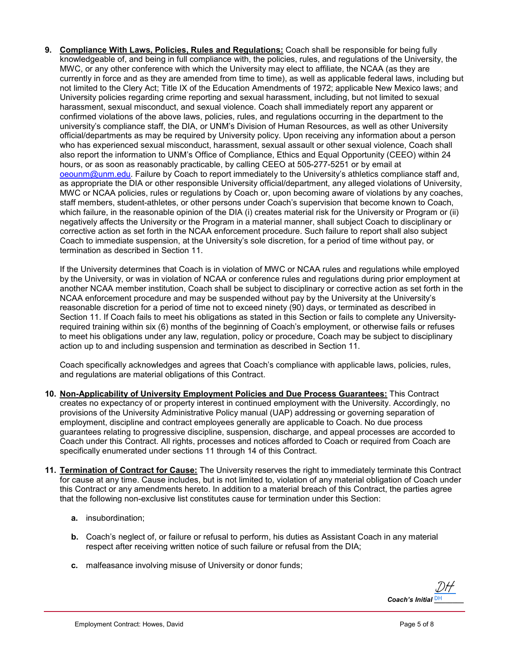**9. Compliance With Laws, Policies, Rules and Regulations:** Coach shall be responsible for being fully knowledgeable of, and being in full compliance with, the policies, rules, and regulations of the University, the MWC, or any other conference with which the University may elect to affiliate, the NCAA (as they are currently in force and as they are amended from time to time), as well as applicable federal laws, including but not limited to the Clery Act; Title IX of the Education Amendments of 1972; applicable New Mexico laws; and University policies regarding crime reporting and sexual harassment, including, but not limited to sexual harassment, sexual misconduct, and sexual violence. Coach shall immediately report any apparent or confirmed violations of the above laws, policies, rules, and regulations occurring in the department to the university's compliance staff, the DIA, or UNM's Division of Human Resources, as well as other University official/departments as may be required by University policy. Upon receiving any information about a person who has experienced sexual misconduct, harassment, sexual assault or other sexual violence, Coach shall also report the information to UNM's Office of Compliance, Ethics and Equal Opportunity (CEEO) within 24 hours, or as soon as reasonably practicable, by calling CEEO at 505-277-5251 or by email at [oeounm@unm.edu.](mailto:oeounm@unm.edu) Failure by Coach to report immediately to the University's athletics compliance staff and, as appropriate the DIA or other responsible University official/department, any alleged violations of University, MWC or NCAA policies, rules or regulations by Coach or, upon becoming aware of violations by any coaches, staff members, student-athletes, or other persons under Coach's supervision that become known to Coach, which failure, in the reasonable opinion of the DIA (i) creates material risk for the University or Program or (ii) negatively affects the University or the Program in a material manner, shall subject Coach to disciplinary or corrective action as set forth in the NCAA enforcement procedure. Such failure to report shall also subject Coach to immediate suspension, at the University's sole discretion, for a period of time without pay, or termination as described in Section 11.

If the University determines that Coach is in violation of MWC or NCAA rules and regulations while employed by the University, or was in violation of NCAA or conference rules and regulations during prior employment at another NCAA member institution, Coach shall be subject to disciplinary or corrective action as set forth in the NCAA enforcement procedure and may be suspended without pay by the University at the University's reasonable discretion for a period of time not to exceed ninety (90) days, or terminated as described in Section 11. If Coach fails to meet his obligations as stated in this Section or fails to complete any Universityrequired training within six (6) months of the beginning of Coach's employment, or otherwise fails or refuses to meet his obligations under any law, regulation, policy or procedure, Coach may be subject to disciplinary action up to and including suspension and termination as described in Section 11.

Coach specifically acknowledges and agrees that Coach's compliance with applicable laws, policies, rules, and regulations are material obligations of this Contract.

- **10. Non-Applicability of University Employment Policies and Due Process Guarantees:** This Contract creates no expectancy of or property interest in continued employment with the University. Accordingly, no provisions of the University Administrative Policy manual (UAP) addressing or governing separation of employment, discipline and contract employees generally are applicable to Coach. No due process guarantees relating to progressive discipline, suspension, discharge, and appeal processes are accorded to Coach under this Contract. All rights, processes and notices afforded to Coach or required from Coach are specifically enumerated under sections 11 through 14 of this Contract.
- **11. Termination of Contract for Cause:** The University reserves the right to immediately terminate this Contract for cause at any time. Cause includes, but is not limited to, violation of any material obligation of Coach under this Contract or any amendments hereto. In addition to a material breach of this Contract, the parties agree that the following non-exclusive list constitutes cause for termination under this Section:
	- **a.** insubordination;
	- **b.** Coach's neglect of, or failure or refusal to perform, his duties as Assistant Coach in any material respect after receiving written notice of such failure or refusal from the DIA;
	- **c.** malfeasance involving misuse of University or donor funds;

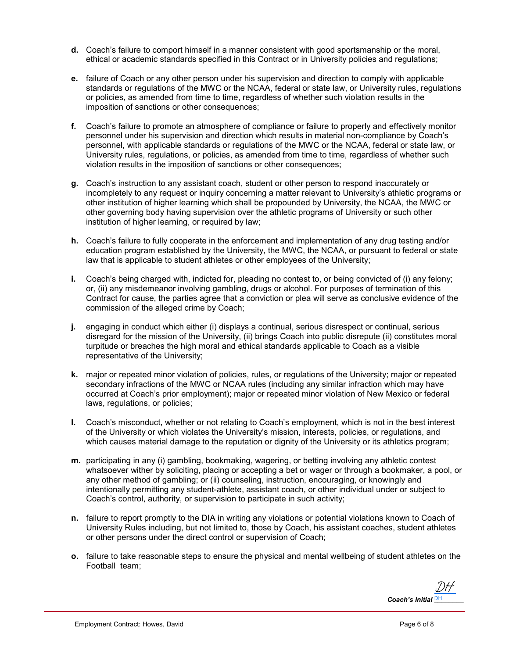- **d.** Coach's failure to comport himself in a manner consistent with good sportsmanship or the moral, ethical or academic standards specified in this Contract or in University policies and regulations;
- **e.** failure of Coach or any other person under his supervision and direction to comply with applicable standards or regulations of the MWC or the NCAA, federal or state law, or University rules, regulations or policies, as amended from time to time, regardless of whether such violation results in the imposition of sanctions or other consequences;
- **f.** Coach's failure to promote an atmosphere of compliance or failure to properly and effectively monitor personnel under his supervision and direction which results in material non-compliance by Coach's personnel, with applicable standards or regulations of the MWC or the NCAA, federal or state law, or University rules, regulations, or policies, as amended from time to time, regardless of whether such violation results in the imposition of sanctions or other consequences;
- **g.** Coach's instruction to any assistant coach, student or other person to respond inaccurately or incompletely to any request or inquiry concerning a matter relevant to University's athletic programs or other institution of higher learning which shall be propounded by University, the NCAA, the MWC or other governing body having supervision over the athletic programs of University or such other institution of higher learning, or required by law;
- **h.** Coach's failure to fully cooperate in the enforcement and implementation of any drug testing and/or education program established by the University, the MWC, the NCAA, or pursuant to federal or state law that is applicable to student athletes or other employees of the University;
- **i.** Coach's being charged with, indicted for, pleading no contest to, or being convicted of (i) any felony; or, (ii) any misdemeanor involving gambling, drugs or alcohol. For purposes of termination of this Contract for cause, the parties agree that a conviction or plea will serve as conclusive evidence of the commission of the alleged crime by Coach;
- **j.** engaging in conduct which either (i) displays a continual, serious disrespect or continual, serious disregard for the mission of the University, (ii) brings Coach into public disrepute (ii) constitutes moral turpitude or breaches the high moral and ethical standards applicable to Coach as a visible representative of the University;
- **k.** major or repeated minor violation of policies, rules, or regulations of the University; major or repeated secondary infractions of the MWC or NCAA rules (including any similar infraction which may have occurred at Coach's prior employment); major or repeated minor violation of New Mexico or federal laws, regulations, or policies;
- **l.** Coach's misconduct, whether or not relating to Coach's employment, which is not in the best interest of the University or which violates the University's mission, interests, policies, or regulations, and which causes material damage to the reputation or dignity of the University or its athletics program;
- **m.** participating in any (i) gambling, bookmaking, wagering, or betting involving any athletic contest whatsoever wither by soliciting, placing or accepting a bet or wager or through a bookmaker, a pool, or any other method of gambling; or (ii) counseling, instruction, encouraging, or knowingly and intentionally permitting any student-athlete, assistant coach, or other individual under or subject to Coach's control, authority, or supervision to participate in such activity;
- **n.** failure to report promptly to the DIA in writing any violations or potential violations known to Coach of University Rules including, but not limited to, those by Coach, his assistant coaches, student athletes or other persons under the direct control or supervision of Coach;
- **o.** failure to take reasonable steps to ensure the physical and mental wellbeing of student athletes on the Football team;

*Coach's Initial* **DH** [DH](https://secure.na2.echosign.com/verifier?tx=CBJCHBCAABAAPiS-ABwhXOprYNAlwZ8VAQPZ7YD_9SOy)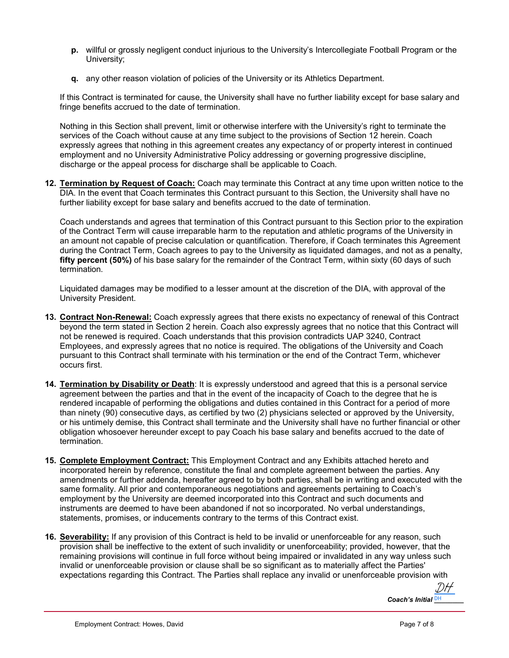- **p.** willful or grossly negligent conduct injurious to the University's Intercollegiate Football Program or the University;
- **q.** any other reason violation of policies of the University or its Athletics Department.

If this Contract is terminated for cause, the University shall have no further liability except for base salary and fringe benefits accrued to the date of termination.

Nothing in this Section shall prevent, limit or otherwise interfere with the University's right to terminate the services of the Coach without cause at any time subject to the provisions of Section 12 herein. Coach expressly agrees that nothing in this agreement creates any expectancy of or property interest in continued employment and no University Administrative Policy addressing or governing progressive discipline, discharge or the appeal process for discharge shall be applicable to Coach.

**12. Termination by Request of Coach:** Coach may terminate this Contract at any time upon written notice to the DIA. In the event that Coach terminates this Contract pursuant to this Section, the University shall have no further liability except for base salary and benefits accrued to the date of termination.

Coach understands and agrees that termination of this Contract pursuant to this Section prior to the expiration of the Contract Term will cause irreparable harm to the reputation and athletic programs of the University in an amount not capable of precise calculation or quantification. Therefore, if Coach terminates this Agreement during the Contract Term, Coach agrees to pay to the University as liquidated damages, and not as a penalty, **fifty percent (50%)** of his base salary for the remainder of the Contract Term, within sixty (60 days of such termination.

Liquidated damages may be modified to a lesser amount at the discretion of the DIA, with approval of the University President.

- **13. Contract Non-Renewal:** Coach expressly agrees that there exists no expectancy of renewal of this Contract beyond the term stated in Section 2 herein. Coach also expressly agrees that no notice that this Contract will not be renewed is required. Coach understands that this provision contradicts UAP 3240, Contract Employees, and expressly agrees that no notice is required. The obligations of the University and Coach pursuant to this Contract shall terminate with his termination or the end of the Contract Term, whichever occurs first.
- **14. Termination by Disability or Death**: It is expressly understood and agreed that this is a personal service agreement between the parties and that in the event of the incapacity of Coach to the degree that he is rendered incapable of performing the obligations and duties contained in this Contract for a period of more than ninety (90) consecutive days, as certified by two (2) physicians selected or approved by the University, or his untimely demise, this Contract shall terminate and the University shall have no further financial or other obligation whosoever hereunder except to pay Coach his base salary and benefits accrued to the date of termination.
- **15. Complete Employment Contract:** This Employment Contract and any Exhibits attached hereto and incorporated herein by reference, constitute the final and complete agreement between the parties. Any amendments or further addenda, hereafter agreed to by both parties, shall be in writing and executed with the same formality. All prior and contemporaneous negotiations and agreements pertaining to Coach's employment by the University are deemed incorporated into this Contract and such documents and instruments are deemed to have been abandoned if not so incorporated. No verbal understandings, statements, promises, or inducements contrary to the terms of this Contract exist.
- **16. Severability:** If any provision of this Contract is held to be invalid or unenforceable for any reason, such provision shall be ineffective to the extent of such invalidity or unenforceability; provided, however, that the remaining provisions will continue in full force without being impaired or invalidated in any way unless such invalid or unenforceable provision or clause shall be so significant as to materially affect the Parties' expectations regarding this Contract. The Parties shall replace any invalid or unenforceable provision with

Coach's Initial **DH** [DH](https://secure.na2.echosign.com/verifier?tx=CBJCHBCAABAAPiS-ABwhXOprYNAlwZ8VAQPZ7YD_9SOy)